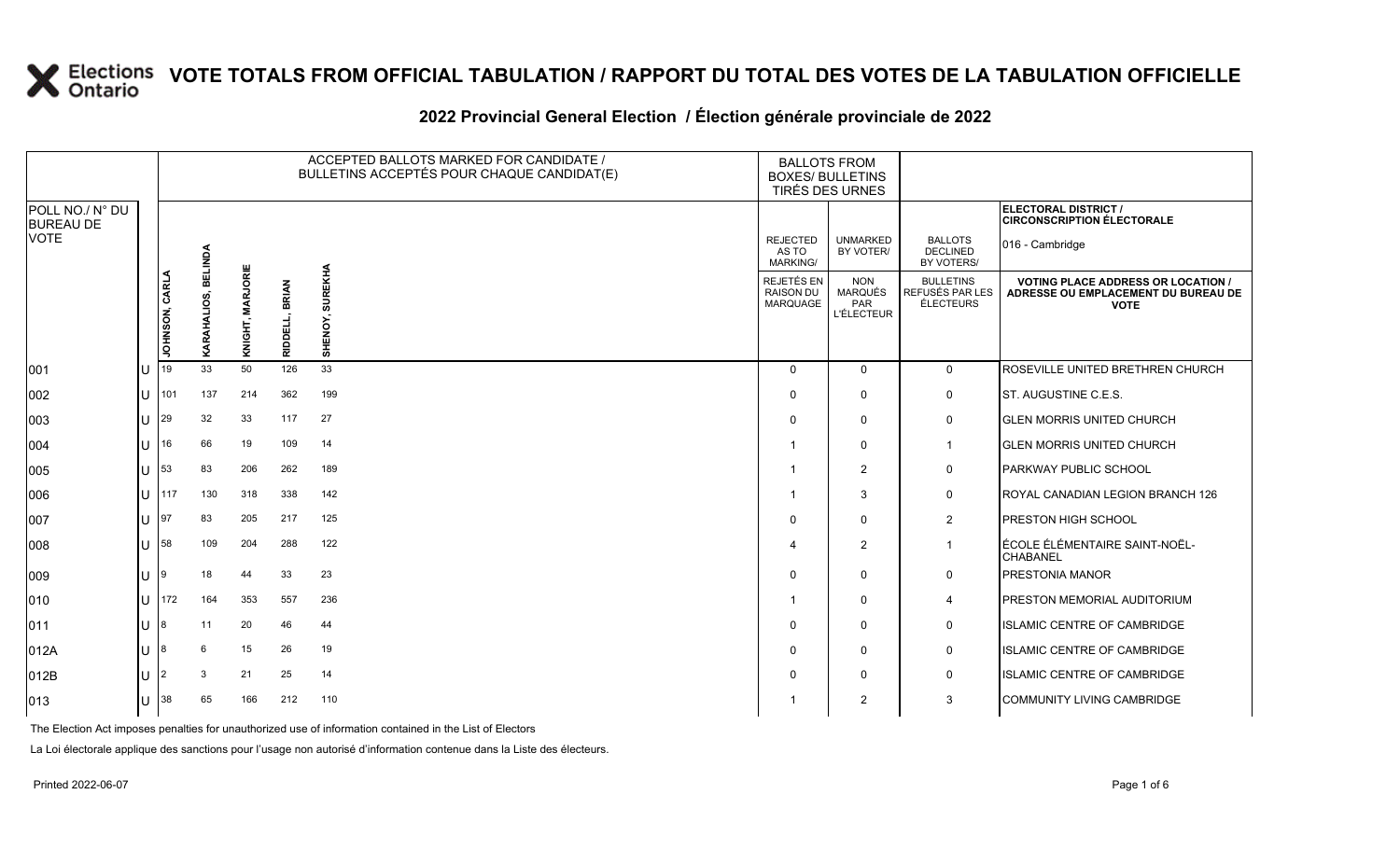### 2022 Provincial General Election / Election générale provinciale de 2022

|                                     |  |                |                |                  |                                | ACCEPTED BALLOTS MARKED FOR CANDIDATE /<br>BULLETINS ACCEPTÉS POUR CHAQUE CANDIDAT(E) | <b>BALLOTS FROM</b><br><b>BOXES/ BULLETINS</b><br>TIRÉS DES URNES |                                                                 |                                                         |                                                                                                 |  |
|-------------------------------------|--|----------------|----------------|------------------|--------------------------------|---------------------------------------------------------------------------------------|-------------------------------------------------------------------|-----------------------------------------------------------------|---------------------------------------------------------|-------------------------------------------------------------------------------------------------|--|
| POLL NO./ N° DU<br><b>BUREAU DE</b> |  |                |                |                  |                                |                                                                                       |                                                                   |                                                                 |                                                         | ELECTORAL DISTRICT /<br><b>CIRCONSCRIPTION ÉLECTORALE</b>                                       |  |
| VOTE                                |  |                | <b>BELINDA</b> |                  |                                |                                                                                       | <b>REJECTED</b><br>AS TO<br><b>MARKING/</b>                       | <b>UNMARKED</b><br>BY VOTER/                                    | <b>BALLOTS</b><br><b>DECLINED</b><br>BY VOTERS/         | 016 - Cambridge                                                                                 |  |
|                                     |  | JOHNSON, CARLA | KARAHALIOS,    | KNIGHT, MARJORIE | <b>BRIAN</b><br><b>RIDDELI</b> | <b>SUREKHA</b><br>SHENOY                                                              | REJETÉS EN<br><b>RAISON DU</b><br><b>MARQUAGE</b>                 | <b>NON</b><br><b>MARQUÉS</b><br><b>PAR</b><br><b>L'ÉLECTEUR</b> | <b>BULLETINS</b><br>REFUSÉS PAR LES<br><b>ÉLECTEURS</b> | <b>VOTING PLACE ADDRESS OR LOCATION /</b><br>ADRESSE OU EMPLACEMENT DU BUREAU DE<br><b>VOTE</b> |  |
| 001                                 |  | 19             | 33             | 50               | 126                            | 33                                                                                    | $\Omega$                                                          | $\mathbf 0$                                                     | $\mathbf 0$                                             | ROSEVILLE UNITED BRETHREN CHURCH                                                                |  |
| 002                                 |  | 101            | 137            | 214              | 362                            | 199                                                                                   | $\Omega$                                                          | $\mathbf 0$                                                     | 0                                                       | ST. AUGUSTINE C.E.S.                                                                            |  |
| 003                                 |  | 29             | 32             | 33               | 117                            | 27                                                                                    | $\Omega$                                                          | $\mathbf 0$                                                     | 0                                                       | <b>IGLEN MORRIS UNITED CHURCH</b>                                                               |  |
| 004                                 |  | 16             | 66             | 19               | 109                            | 14                                                                                    |                                                                   | $\mathbf 0$                                                     | $\mathbf{1}$                                            | <b>GLEN MORRIS UNITED CHURCH</b>                                                                |  |
| 005                                 |  | 53             | 83             | 206              | 262                            | 189                                                                                   |                                                                   | 2                                                               | 0                                                       | <b>PARKWAY PUBLIC SCHOOL</b>                                                                    |  |
| 006                                 |  | 117            | 130            | 318              | 338                            | 142                                                                                   |                                                                   | 3                                                               | 0                                                       | ROYAL CANADIAN LEGION BRANCH 126                                                                |  |
| 007                                 |  | 97             | 83             | 205              | 217                            | 125                                                                                   | $\Omega$                                                          | $\mathbf 0$                                                     | $\overline{2}$                                          | <b>PRESTON HIGH SCHOOL</b>                                                                      |  |
| 008                                 |  | 58             | 109            | 204              | 288                            | 122                                                                                   |                                                                   | $\overline{2}$                                                  | $\mathbf{1}$                                            | ÉCOLE ÉLÉMENTAIRE SAINT-NOËL-<br><b>CHABANEL</b>                                                |  |
| 009                                 |  |                | 18             | 44               | 33                             | 23                                                                                    | $\Omega$                                                          | $\mathbf 0$                                                     | 0                                                       | PRESTONIA MANOR                                                                                 |  |
| 010                                 |  | 172            | 164            | 353              | 557                            | 236                                                                                   |                                                                   | $\mathbf 0$                                                     | 4                                                       | <b>PRESTON MEMORIAL AUDITORIUM</b>                                                              |  |
| 011                                 |  |                | 11             | 20               | 46                             | 44                                                                                    | $\Omega$                                                          | $\mathbf 0$                                                     | 0                                                       | <b>ISLAMIC CENTRE OF CAMBRIDGE</b>                                                              |  |
| 012A                                |  |                | 6              | 15               | 26                             | 19                                                                                    | $\Omega$                                                          | $\mathbf 0$                                                     | 0                                                       | <b>ISLAMIC CENTRE OF CAMBRIDGE</b>                                                              |  |
| 012B                                |  |                | 3              | 21               | 25                             | 14                                                                                    | $\Omega$                                                          | $\mathbf 0$                                                     | 0                                                       | <b>ISLAMIC CENTRE OF CAMBRIDGE</b>                                                              |  |
| 013                                 |  | 38             | 65             | 166              | 212                            | 110                                                                                   |                                                                   | 2                                                               | 3                                                       | COMMUNITY LIVING CAMBRIDGE                                                                      |  |

The Election Act imposes penalties for unauthorized use of information contained in the List of Electors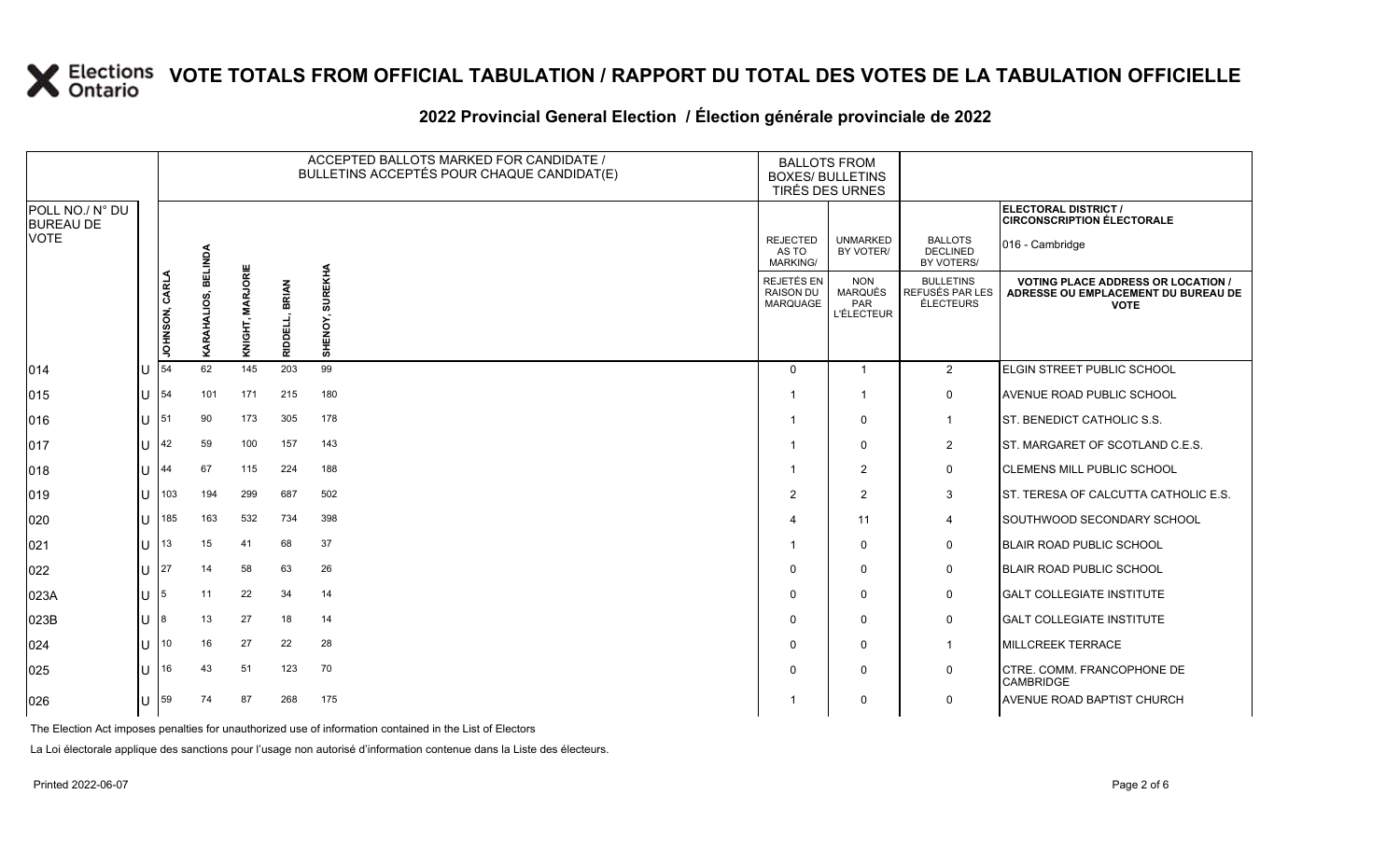### **2022 Provincial General Election / Élection générale provinciale de 2022**

|                                     |                        |                |                     |                  |                         | ACCEPTED BALLOTS MARKED FOR CANDIDATE /<br>BULLETINS ACCEPTÉS POUR CHAQUE CANDIDAT(E) | <b>BALLOTS FROM</b><br><b>BOXES/ BULLETINS</b><br>TIRÉS DES URNES |                                                          |                                                  |                                                                                                 |
|-------------------------------------|------------------------|----------------|---------------------|------------------|-------------------------|---------------------------------------------------------------------------------------|-------------------------------------------------------------------|----------------------------------------------------------|--------------------------------------------------|-------------------------------------------------------------------------------------------------|
| POLL NO./ N° DU<br><b>BUREAU DE</b> |                        |                |                     |                  |                         |                                                                                       |                                                                   |                                                          |                                                  | ELECTORAL DISTRICT /<br><b>CIRCONSCRIPTION ÉLECTORALE</b>                                       |
| <b>VOTE</b>                         |                        |                |                     |                  |                         |                                                                                       | <b>REJECTED</b><br>AS TO<br><b>MARKING/</b>                       | <b>UNMARKED</b><br>BY VOTER/                             | <b>BALLOTS</b><br><b>DECLINED</b><br>BY VOTERS/  | 016 - Cambridge                                                                                 |
|                                     |                        | JOHNSON, CARLA | KARAHALIOS, BELINDA | KNIGHT, MARJORIE | <b>BRIAN</b><br>RIDDELL | <b>SUREKHA</b><br>SHENOY,                                                             | REJETÉS EN<br>RAISON DU<br><b>MARQUAGE</b>                        | <b>NON</b><br><b>MARQUÉS</b><br>PAR<br><b>L'ÉLECTEUR</b> | <b>BULLETINS</b><br>REFUSÉS PAR LES<br>ÉLECTEURS | <b>VOTING PLACE ADDRESS OR LOCATION /</b><br>ADRESSE OU EMPLACEMENT DU BUREAU DE<br><b>VOTE</b> |
| 014                                 | U                      | 54             | 62                  | 145              | 203                     | 99                                                                                    | $\Omega$                                                          | $\overline{1}$                                           | $\overline{2}$                                   | ELGIN STREET PUBLIC SCHOOL                                                                      |
| 015                                 |                        | $U$ 54         | 101                 | 171              | 215                     | 180                                                                                   |                                                                   | $\overline{\mathbf{1}}$                                  | $\mathbf 0$                                      | AVENUE ROAD PUBLIC SCHOOL                                                                       |
| 016                                 | $\lfloor \rfloor$   51 |                | 90                  | 173              | 305                     | 178                                                                                   |                                                                   | $\mathbf 0$                                              | $\mathbf{1}$                                     | ST. BENEDICT CATHOLIC S.S.                                                                      |
| 017                                 |                        | U $ 42$        | 59                  | 100              | 157                     | 143                                                                                   |                                                                   | $\mathbf 0$                                              | $\overline{2}$                                   | ST. MARGARET OF SCOTLAND C.E.S.                                                                 |
| 018                                 | $1J$  44               |                | 67                  | 115              | 224                     | 188                                                                                   |                                                                   | $\overline{2}$                                           | $\mathsf{O}$                                     | <b>CLEMENS MILL PUBLIC SCHOOL</b>                                                               |
| 019                                 | U                      | 103            | 194                 | 299              | 687                     | 502                                                                                   | 2                                                                 | $\overline{2}$                                           | 3                                                | ST. TERESA OF CALCUTTA CATHOLIC E.S.                                                            |
| 020                                 |                        | $U$  185       | 163                 | 532              | 734                     | 398                                                                                   |                                                                   | 11                                                       | 4                                                | SOUTHWOOD SECONDARY SCHOOL                                                                      |
| 021                                 |                        | $11$ 13        | 15                  | 41               | 68                      | 37                                                                                    |                                                                   | $\mathbf 0$                                              | $\mathbf 0$                                      | <b>BLAIR ROAD PUBLIC SCHOOL</b>                                                                 |
| 022                                 | U                      | 27             | 14                  | 58               | 63                      | 26                                                                                    | $\Omega$                                                          | $\Omega$                                                 | $\mathbf 0$                                      | <b>BLAIR ROAD PUBLIC SCHOOL</b>                                                                 |
| 023A                                | $\lfloor \rfloor$   5  |                | 11                  | 22               | 34                      | 14                                                                                    | $\Omega$                                                          | $\mathbf 0$                                              | $\mathsf{O}$                                     | <b>GALT COLLEGIATE INSTITUTE</b>                                                                |
| 023B                                | $U^{8}$                |                | 13                  | 27               | 18                      | 14                                                                                    | $\Omega$                                                          | $\mathbf 0$                                              | $\mathsf{O}$                                     | <b>GALT COLLEGIATE INSTITUTE</b>                                                                |
| 024                                 | $U$ 10                 |                | 16                  | 27               | 22                      | 28                                                                                    | $\Omega$                                                          | $\mathbf 0$                                              | $\overline{1}$                                   | <b>MILLCREEK TERRACE</b>                                                                        |
| 025                                 |                        | $\lfloor$   16 | 43                  | 51               | 123                     | 70                                                                                    | $\Omega$                                                          | $\mathbf 0$                                              | 0                                                | CTRE. COMM. FRANCOPHONE DE<br><b>CAMBRIDGE</b>                                                  |
| 026                                 |                        | $U$ 59         | 74                  | 87               | 268                     | 175                                                                                   |                                                                   | $\mathbf 0$                                              | $\mathbf 0$                                      | <b>AVENUE ROAD BAPTIST CHURCH</b>                                                               |

The Election Act imposes penalties for unauthorized use of information contained in the List of Electors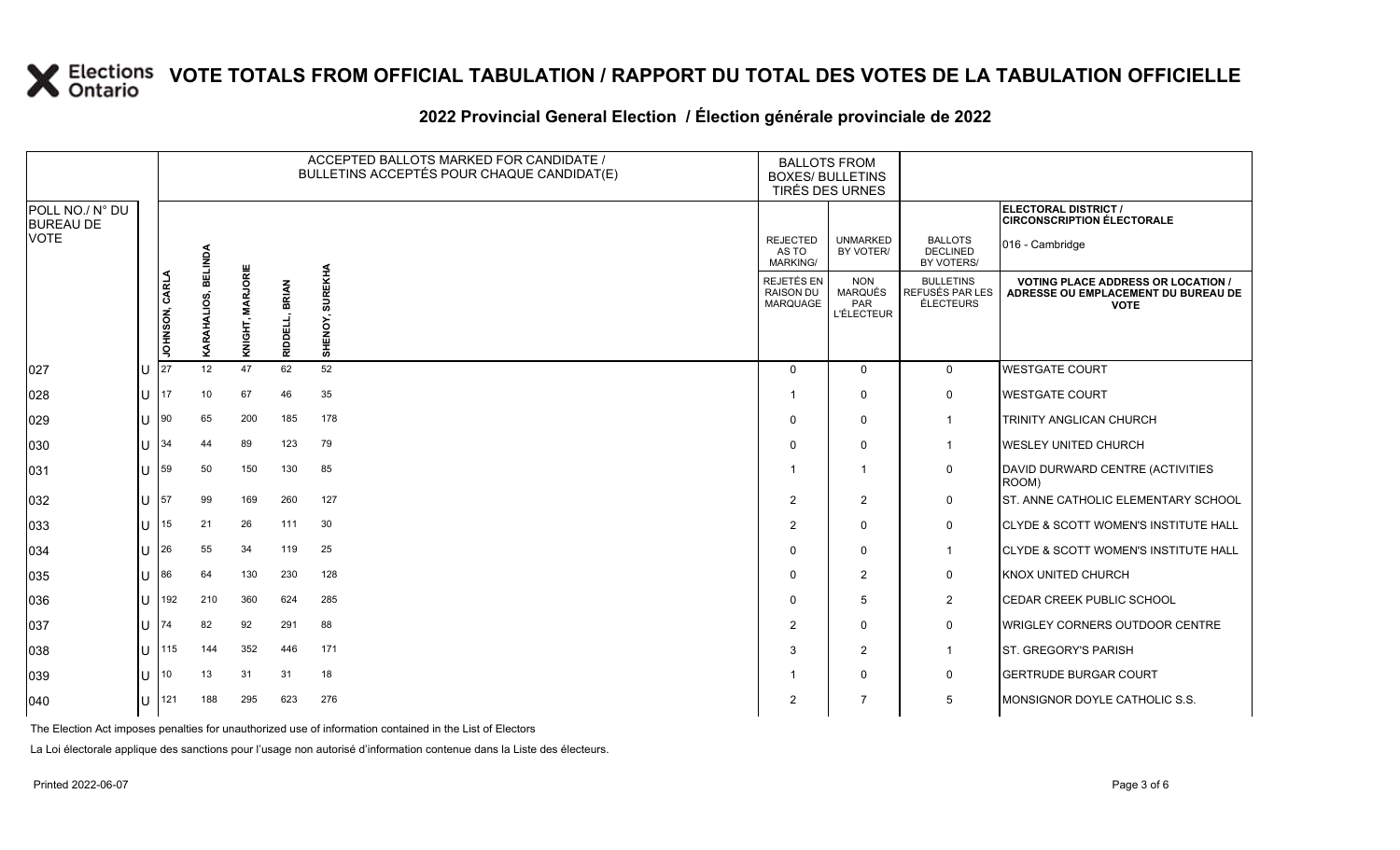### **2022 Provincial General Election / Élection générale provinciale de 2022**

|                                     |          |                |                |                  |                | ACCEPTED BALLOTS MARKED FOR CANDIDATE /<br>BULLETINS ACCEPTÉS POUR CHAQUE CANDIDAT(E) | <b>BALLOTS FROM</b><br><b>BOXES/ BULLETINS</b><br>TIRÉS DES URNES |                                                   |                                                  |                                                                                                 |  |
|-------------------------------------|----------|----------------|----------------|------------------|----------------|---------------------------------------------------------------------------------------|-------------------------------------------------------------------|---------------------------------------------------|--------------------------------------------------|-------------------------------------------------------------------------------------------------|--|
| POLL NO./ N° DU<br><b>BUREAU DE</b> |          |                |                |                  |                |                                                                                       |                                                                   |                                                   |                                                  | <b>ELECTORAL DISTRICT /</b><br><b>CIRCONSCRIPTION ÉLECTORALE</b>                                |  |
| <b>VOTE</b>                         |          |                | <b>BELINDA</b> |                  |                |                                                                                       | <b>REJECTED</b><br>AS TO<br><b>MARKING/</b>                       | <b>UNMARKED</b><br>BY VOTER/                      | <b>BALLOTS</b><br><b>DECLINED</b><br>BY VOTERS/  | 016 - Cambridge                                                                                 |  |
|                                     |          | JOHNSON, CARLA | KARAHALIOS,    | KNIGHT, MARJORIE | BRIAN<br>RIDDI | <b>REKHA</b><br>ENO'<br>동                                                             | REJETÉS EN<br><b>RAISON DU</b><br>MARQUAGE                        | <b>NON</b><br>MARQUÉS<br>PAR<br><b>L'ÉLECTEUR</b> | <b>BULLETINS</b><br>REFUSÉS PAR LES<br>ÉLECTEURS | <b>VOTING PLACE ADDRESS OR LOCATION /</b><br>ADRESSE OU EMPLACEMENT DU BUREAU DE<br><b>VOTE</b> |  |
| 027                                 | ΠT       | 27             | 12             | 47               | 62             | 52                                                                                    | $\Omega$                                                          | $\mathbf 0$                                       | $\mathbf{0}$                                     | <b>WESTGATE COURT</b>                                                                           |  |
| 028                                 | lU       | 17             | 10             | 67               | 46             | 35                                                                                    |                                                                   | $\mathbf 0$                                       | $\mathbf 0$                                      | <b>WESTGATE COURT</b>                                                                           |  |
| 029                                 | ΙU       | $ 90\rangle$   | 65             | 200              | 185            | 178                                                                                   | $\Omega$                                                          | $\mathbf 0$                                       | $\mathbf 1$                                      | TRINITY ANGLICAN CHURCH                                                                         |  |
| 030                                 | $ U $ 34 |                | 44             | 89               | 123            | 79                                                                                    | $\Omega$                                                          | $\Omega$                                          | $\mathbf 1$                                      | <b>WESLEY UNITED CHURCH</b>                                                                     |  |
| 031                                 | lU       | 59             | 50             | 150              | 130            | 85                                                                                    | -1                                                                | -1                                                | $\mathbf 0$                                      | DAVID DURWARD CENTRE (ACTIVITIES<br>ROOM)                                                       |  |
| 032                                 | U        | 57             | 99             | 169              | 260            | 127                                                                                   | 2                                                                 | 2                                                 | $\mathsf{O}$                                     | ST. ANNE CATHOLIC ELEMENTARY SCHOOL                                                             |  |
| 033                                 | U        | 15             | 21             | 26               | 111            | 30                                                                                    | $\overline{2}$                                                    | $\Omega$                                          | $\mathbf 0$                                      | CLYDE & SCOTT WOMEN'S INSTITUTE HALL                                                            |  |
| 034                                 | lu-      | 26             | 55             | 34               | 119            | 25                                                                                    | $\Omega$                                                          | $\Omega$                                          | $\mathbf{1}$                                     | <b>CLYDE &amp; SCOTT WOMEN'S INSTITUTE HALL</b>                                                 |  |
| 035                                 | $11$ 86  |                | 64             | 130              | 230            | 128                                                                                   | $\Omega$                                                          | $\overline{2}$                                    | $\mathsf{O}$                                     | KNOX UNITED CHURCH                                                                              |  |
| 036                                 | U        | 192            | 210            | 360              | 624            | 285                                                                                   | $\Omega$                                                          | 5                                                 | $\overline{2}$                                   | CEDAR CREEK PUBLIC SCHOOL                                                                       |  |
| 037                                 | lu-      | 174            | 82             | 92               | 291            | 88                                                                                    | $\overline{2}$                                                    | $\Omega$                                          | $\mathbf 0$                                      | WRIGLEY CORNERS OUTDOOR CENTRE                                                                  |  |
| 038                                 | U        | 115            | 144            | 352              | 446            | 171                                                                                   | 3                                                                 | 2                                                 | $\mathbf{1}$                                     | ST. GREGORY'S PARISH                                                                            |  |
| 039                                 | lU       | 10             | 13             | 31               | 31             | 18                                                                                    |                                                                   | $\Omega$                                          | $\mathbf 0$                                      | <b>GERTRUDE BURGAR COURT</b>                                                                    |  |
| $ 040\rangle$                       | U        | 121            | 188            | 295              | 623            | 276                                                                                   | $\overline{2}$                                                    | 7                                                 | 5                                                | MONSIGNOR DOYLE CATHOLIC S.S.                                                                   |  |

The Election Act imposes penalties for unauthorized use of information contained in the List of Electors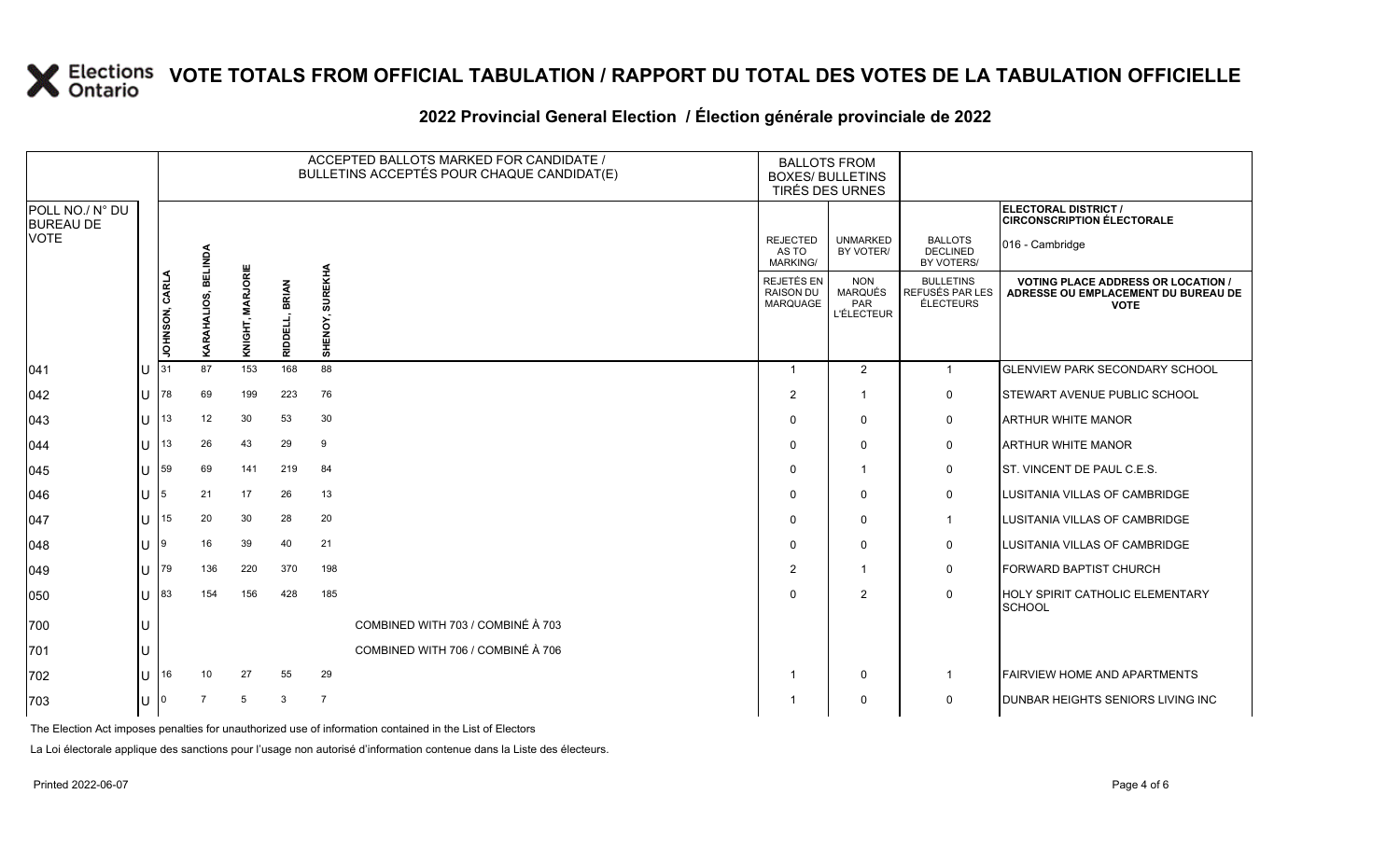#### ACCEPTED BALLOTS MARKED FOR CANDIDATE / BULLETINS ACCEPTÉS POUR CHAQUE CANDIDAT(E) BALLOTS FROM BOXES/ BULLETINS TIRÉS DES URNES **ELECTORAL DISTRICT /** POLL NO./ N° DU **CIRCONSCRIPTION ÉLECTORALE** BUREAU DE UNMARKED REJECTED BALLOTS 016 - Cambridge **DECLINED BELINDA KARAHALIOS, BELINDA** BY VOTER/ AS TO MARKING/ BY VOTERS/ KNIGHT, MARJORIE **KNIGHT, MARJORIE SUREKHA SHENOY, SUREKHA JOHNSON, CARLA** JOHNSON, CARLA REJETÉS EN NON BULLETINS **VOTING PLACE ADDRESS OR LOCATION /**  RIDDELL, BRIAN **RIDDELL, BRIAN** MARQUÉS RAISON DU REFUSÉS PAR LES **ADRESSE OU EMPLACEMENT DU BUREAU DE**  KARAHALIOS, MARQUAGE PAR ÉLECTEURS **VOTE** L'ÉLECTEUR SHENOY, 041 U 31 87 153 168 88 20 20 1 2 1 GLENVIEW PARK SECONDARY SCHOOL 042 U 78 69 199 223 76 2 1 0 STEWART AVENUE PUBLIC SCHOOL 043 U 13 12 30 53 30 0 0 0 ARTHUR WHITE MANOR 044 U 13 26 43 29 9 0 0 0 ARTHUR WHITE MANOR 045 U 59 69 141 219 84 0 1 0 ST. VINCENT DE PAUL C.E.S. 046 U 5 21 17 26 13 0 0 0 LUSITANIA VILLAS OF CAMBRIDGE 047 U 15 20 30 28 20 0 0 1 LUSITANIA VILLAS OF CAMBRIDGE

048 U 9 16 39 40 21 0 0 0 LUSITANIA VILLAS OF CAMBRIDGE

050 U 83 154 156 428 185 0 2 0 HOLY SPIRIT CATHOLIC ELEMENTARY

702 U 16 10 27 55 29 1 D 1 D 1 FAIRVIEW HOME AND APARTMENTS 703 U 0 7 5 3 7 1 0 0 DUNBAR HEIGHTS SENIORS LIVING INC

049 U 79 136 220 370 198 2 1 0 FORWARD BAPTIST CHURCH

### **2022 Provincial General Election / Élection générale provinciale de 2022**

The Election Act imposes penalties for unauthorized use of information contained in the List of Electors

700 U COMBINED WITH 703 / COMBINÉ À 703 701 U COMBINED WITH 706 / COMBINÉ À 706

La Loi électorale applique des sanctions pour l'usage non autorisé d'information contenue dans la Liste des électeurs.

VOTE

**SCHOOL**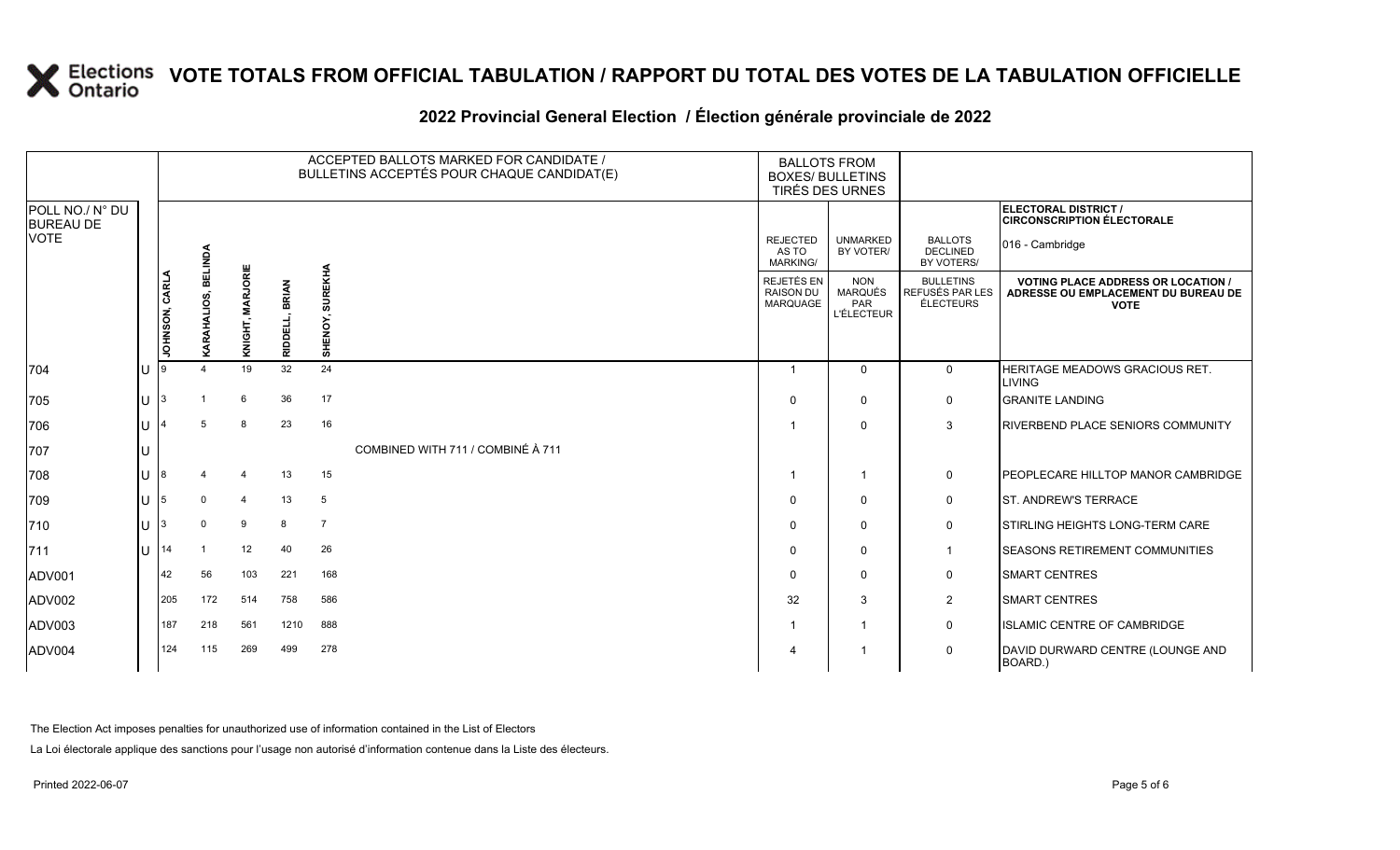### **2022 Provincial General Election / Élection générale provinciale de 2022**

|                                     |     |                       |                |                  |                          | ACCEPTED BALLOTS MARKED FOR CANDIDATE /<br>BULLETINS ACCEPTÉS POUR CHAQUE CANDIDAT(E) | <b>BALLOTS FROM</b><br><b>BOXES/ BULLETINS</b> | TIRÉS DES URNES                                          |                                                  |                                                                                                 |
|-------------------------------------|-----|-----------------------|----------------|------------------|--------------------------|---------------------------------------------------------------------------------------|------------------------------------------------|----------------------------------------------------------|--------------------------------------------------|-------------------------------------------------------------------------------------------------|
| POLL NO./ N° DU<br><b>BUREAU DE</b> |     |                       |                |                  |                          |                                                                                       |                                                |                                                          |                                                  | ELECTORAL DISTRICT /<br><b>CIRCONSCRIPTION ÉLECTORALE</b>                                       |
| <b>VOTE</b>                         |     |                       | <b>BELINDA</b> |                  |                          |                                                                                       | <b>REJECTED</b><br>AS TO<br>MARKING/           | <b>UNMARKED</b><br>BY VOTER/                             | <b>BALLOTS</b><br><b>DECLINED</b><br>BY VOTERS/  | 016 - Cambridge                                                                                 |
|                                     |     | <b>JOHNSON, CARLA</b> | RAHALIOS,      | KNIGHT, MARJORIE | <b>BRIAN</b><br>RIDDELL, | <b>SUREKHA</b><br>SHENOY,                                                             | REJETÉS EN<br><b>RAISON DU</b><br>MARQUAGE     | <b>NON</b><br><b>MARQUÉS</b><br>PAR<br><b>L'ÉLECTEUR</b> | <b>BULLETINS</b><br>REFUSÉS PAR LES<br>ÉLECTEURS | <b>VOTING PLACE ADDRESS OR LOCATION /</b><br>ADRESSE OU EMPLACEMENT DU BUREAU DE<br><b>VOTE</b> |
| 704                                 | ΙU  |                       |                | 19               | 32                       | 24                                                                                    | - 1                                            | $\mathbf{0}$                                             | $\mathbf 0$                                      | HERITAGE MEADOWS GRACIOUS RET.<br><b>LIVING</b>                                                 |
| 705                                 | lu. | 3                     |                | 6                | 36                       | 17                                                                                    | $\Omega$                                       | $\Omega$                                                 | 0                                                | <b>GRANITE LANDING</b>                                                                          |
| 706                                 | Iυ  |                       |                | 8                | 23                       | 16                                                                                    |                                                | $\mathbf{0}$                                             | 3                                                | RIVERBEND PLACE SENIORS COMMUNITY                                                               |
| 707                                 | IU  |                       |                |                  |                          | COMBINED WITH 711 / COMBINÉ À 711                                                     |                                                |                                                          |                                                  |                                                                                                 |
| 708                                 | Iυ  | 8                     |                |                  | 13                       | 15                                                                                    |                                                |                                                          | 0                                                | PEOPLECARE HILLTOP MANOR CAMBRIDGE                                                              |
| 709                                 | lu  | 5                     | $\Omega$       |                  | 13                       | 5                                                                                     | $\Omega$                                       | 0                                                        | 0                                                | <b>ST. ANDREW'S TERRACE</b>                                                                     |
| 710                                 | lu  |                       | $\Omega$       | 9                | 8                        | $\overline{7}$                                                                        | $\Omega$                                       | 0                                                        | 0                                                | STIRLING HEIGHTS LONG-TERM CARE                                                                 |
| $ 711$                              | lu  | 14                    |                | 12               | 40                       | 26                                                                                    | $\Omega$                                       | $\mathbf{0}$                                             | $\overline{1}$                                   | SEASONS RETIREMENT COMMUNITIES                                                                  |
| ADV001                              |     | 42                    | 56             | 103              | 221                      | 168                                                                                   | $\Omega$                                       | $\mathbf{0}$                                             | 0                                                | <b>SMART CENTRES</b>                                                                            |
| ADV002                              |     | 205                   | 172            | 514              | 758                      | 586                                                                                   | 32                                             | 3                                                        | $\overline{c}$                                   | <b>SMART CENTRES</b>                                                                            |
| ADV003                              |     | 187                   | 218            | 561              | 1210                     | 888                                                                                   |                                                |                                                          | 0                                                | ISLAMIC CENTRE OF CAMBRIDGE                                                                     |
| ADV004                              |     | 124                   | 115            | 269              | 499                      | 278                                                                                   | $\boldsymbol{\Delta}$                          |                                                          | $\mathbf 0$                                      | DAVID DURWARD CENTRE (LOUNGE AND<br>BOARD.)                                                     |

The Election Act imposes penalties for unauthorized use of information contained in the List of Electors